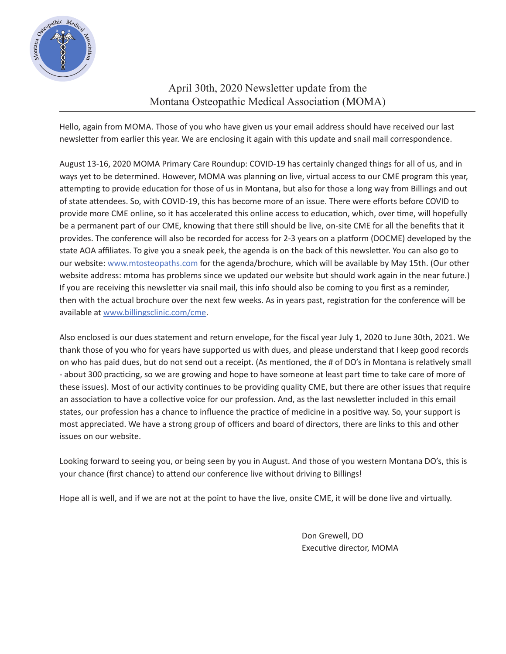

## April 30th, 2020 Newsletter update from the Montana Osteopathic Medical Association (MOMA)

Hello, again from MOMA. Those of you who have given us your email address should have received our last newsletter from earlier this year. We are enclosing it again with this update and snail mail correspondence.

August 13-16, 2020 MOMA Primary Care Roundup: COVID-19 has certainly changed things for all of us, and in ways yet to be determined. However, MOMA was planning on live, virtual access to our CME program this year, attempting to provide education for those of us in Montana, but also for those a long way from Billings and out of state attendees. So, with COVID-19, this has become more of an issue. There were efforts before COVID to provide more CME online, so it has accelerated this online access to education, which, over time, will hopefully be a permanent part of our CME, knowing that there still should be live, on-site CME for all the benefits that it provides. The conference will also be recorded for access for 2-3 years on a platform (DOCME) developed by the state AOA affiliates. To give you a sneak peek, the agenda is on the back of this newsletter. You can also go to our website: www.mtosteopaths.com for the agenda/brochure, which will be available by May 15th. (Our other website address: mtoma has problems since we updated our website but should work again in the near future.) If you are receiving this newsletter via snail mail, this info should also be coming to you first as a reminder, then with the actual brochure over the next few weeks. As in years past, registration for the conference will be available at www.billingsclinic.com/cme.

Also enclosed is our dues statement and return envelope, for the fiscal year July 1, 2020 to June 30th, 2021. We thank those of you who for years have supported us with dues, and please understand that I keep good records on who has paid dues, but do not send out a receipt. (As mentioned, the # of DO's in Montana is relatively small - about 300 practicing, so we are growing and hope to have someone at least part time to take care of more of these issues). Most of our activity continues to be providing quality CME, but there are other issues that require an association to have a collective voice for our profession. And, as the last newsletter included in this email states, our profession has a chance to influence the practice of medicine in a positive way. So, your support is most appreciated. We have a strong group of officers and board of directors, there are links to this and other issues on our website.

Looking forward to seeing you, or being seen by you in August. And those of you western Montana DO's, this is your chance (first chance) to attend our conference live without driving to Billings!

Hope all is well, and if we are not at the point to have the live, onsite CME, it will be done live and virtually.

 Don Grewell, DO Executive director, MOMA